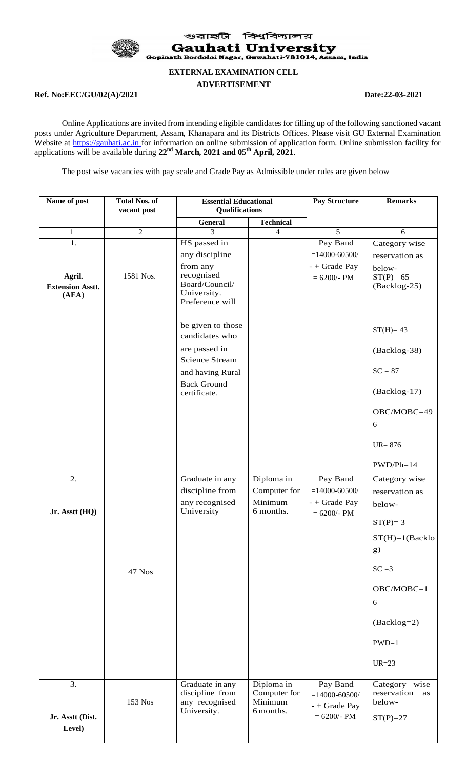

বিশ্ববিদ্যালয় গুৱাহ্মী **Gauhati University** Gopinath Bordoloi Nagar, Guwahati-781014, Assam, India

#### **EXTERNAL EXAMINATION CELL**

#### **ADVERTISEMENT**

# **Ref. No:EEC/GU/02(A)/2021 Date:22-03-2021**

Online Applications are invited from intending eligible candidates for filling up of the following sanctioned vacant posts under Agriculture Department, Assam, Khanapara and its Districts Offices. Please visit GU External Examination Website at https://gauhati.ac.in for information on online submission of application form. Online submission facility for applications will be available during **22nd March, 2021 and 05th April, 2021**.

The post wise vacancies with pay scale and Grade Pay as Admissible under rules are given below

| Name of post                               | <b>Total Nos. of</b><br>vacant post | <b>Essential Educational</b>                                               |                                                    | <b>Pay Structure</b>                                             | <b>Remarks</b>                                             |
|--------------------------------------------|-------------------------------------|----------------------------------------------------------------------------|----------------------------------------------------|------------------------------------------------------------------|------------------------------------------------------------|
|                                            |                                     | Qualifications<br><b>General</b><br><b>Technical</b>                       |                                                    |                                                                  |                                                            |
| $\mathbf{1}$                               | $\overline{2}$                      | 3                                                                          | $\overline{4}$                                     | 5                                                                | 6                                                          |
| 1.                                         |                                     | HS passed in<br>any discipline                                             |                                                    | Pay Band<br>$= 14000 - 60500/$                                   | Category wise<br>reservation as                            |
| Agril.<br><b>Extension Asstt.</b><br>(AEA) | 1581 Nos.                           | from any<br>recognised<br>Board/Council/<br>University.<br>Preference will |                                                    | - + Grade Pay<br>$= 6200/- PM$                                   | below-<br>$ST(P)=65$<br>(Backlog-25)                       |
|                                            |                                     | be given to those<br>candidates who                                        |                                                    |                                                                  | $ST(H)=43$                                                 |
|                                            |                                     | are passed in<br><b>Science Stream</b>                                     |                                                    |                                                                  | (Backlog-38)                                               |
|                                            |                                     | and having Rural<br><b>Back Ground</b>                                     |                                                    |                                                                  | $SC = 87$                                                  |
|                                            |                                     | certificate.                                                               |                                                    |                                                                  | (Backlog-17)                                               |
|                                            |                                     |                                                                            |                                                    |                                                                  | OBC/MOBC=49<br>6                                           |
|                                            |                                     |                                                                            |                                                    |                                                                  | $UR = 876$                                                 |
|                                            |                                     |                                                                            |                                                    |                                                                  | $PWD/Ph=14$                                                |
| 2.                                         |                                     | Graduate in any                                                            | Diploma in                                         | Pay Band                                                         | Category wise                                              |
|                                            |                                     | discipline from                                                            | Computer for                                       | $= 14000 - 60500/$                                               | reservation as                                             |
| Jr. Asstt (HQ)                             |                                     | any recognised<br>University                                               | Minimum<br>6 months.                               | - + Grade Pay<br>$= 6200/- PM$                                   | below-                                                     |
|                                            |                                     |                                                                            |                                                    |                                                                  | $ST(P)=3$                                                  |
|                                            |                                     |                                                                            |                                                    |                                                                  | $ST(H)=1(Backlo)$<br>g)                                    |
|                                            | 47 Nos                              |                                                                            |                                                    |                                                                  | $SC = 3$                                                   |
|                                            |                                     |                                                                            |                                                    |                                                                  | OBC/MOBC=1<br>6                                            |
|                                            |                                     |                                                                            |                                                    |                                                                  | (Backlog=2)                                                |
|                                            |                                     |                                                                            |                                                    |                                                                  | $PWD=1$                                                    |
|                                            |                                     |                                                                            |                                                    |                                                                  | $UR = 23$                                                  |
| 3.<br>Jr. Asstt (Dist.                     | 153 Nos                             | Graduate in any<br>discipline from<br>any recognised<br>University.        | Diploma in<br>Computer for<br>Minimum<br>6 months. | Pay Band<br>$= 14000 - 60500/$<br>- + Grade Pay<br>$= 6200/- PM$ | Category wise<br>reservation<br>as<br>below-<br>$ST(P)=27$ |
| Level)                                     |                                     |                                                                            |                                                    |                                                                  |                                                            |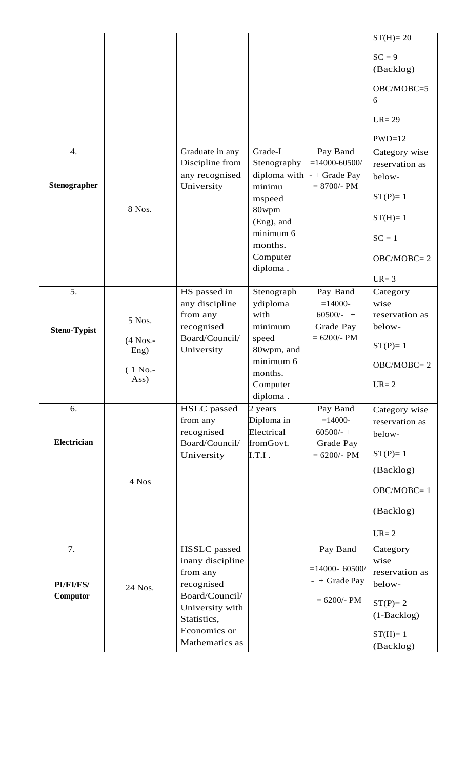|                     |                    |                                |                       |                       | $ST(H)=20$                      |
|---------------------|--------------------|--------------------------------|-----------------------|-----------------------|---------------------------------|
|                     |                    |                                |                       |                       | $SC = 9$                        |
|                     |                    |                                |                       |                       | (Backlog)                       |
|                     |                    |                                |                       |                       |                                 |
|                     |                    |                                |                       |                       | OBC/MOBC=5                      |
|                     |                    |                                |                       |                       | 6                               |
|                     |                    |                                |                       |                       | $UR = 29$                       |
|                     |                    |                                |                       |                       | $PWD=12$                        |
| $\overline{4}$ .    |                    | Graduate in any                | Grade-I               | Pay Band              | Category wise                   |
|                     |                    | Discipline from                | Stenography           | $= 14000 - 60500/$    | reservation as                  |
|                     |                    | any recognised                 | diploma with          | - + Grade Pay         | below-                          |
| <b>Stenographer</b> |                    | University                     | minimu                | $= 8700/- PM$         | $ST(P)=1$                       |
|                     | 8 Nos.             |                                | mspeed<br>80wpm       |                       |                                 |
|                     |                    |                                | (Eng), and            |                       | $ST(H)=1$                       |
|                     |                    |                                | minimum 6             |                       |                                 |
|                     |                    |                                | months.               |                       | $SC = 1$                        |
|                     |                    |                                | Computer              |                       | $OBC/MOBC = 2$                  |
|                     |                    |                                | diploma.              |                       |                                 |
|                     |                    |                                |                       |                       | $UR = 3$                        |
| 5.                  |                    | HS passed in                   | Stenograph            | Pay Band<br>$=14000-$ | Category<br>wise                |
|                     |                    | any discipline<br>from any     | ydiploma<br>with      | $60500/-$ +           | reservation as                  |
|                     | 5 Nos.             | recognised                     | minimum               | Grade Pay             | below-                          |
| <b>Steno-Typist</b> | $(4$ Nos.-         | Board/Council/                 | speed                 | $= 6200/- PM$         |                                 |
|                     | Eng)               | University                     | 80wpm, and            |                       | $ST(P)=1$                       |
|                     |                    |                                | minimum 6             |                       | $OBC/MOBC = 2$                  |
|                     | $(1 No. -$<br>Ass) |                                | months.               |                       |                                 |
|                     |                    |                                | Computer              |                       | $UR = 2$                        |
|                     |                    |                                | diploma.              |                       |                                 |
| 6.                  |                    | <b>HSLC</b> passed<br>from any | 2 years<br>Diploma in | Pay Band<br>$=14000-$ | Category wise<br>reservation as |
|                     |                    | recognised                     | Electrical            | $60500/-$ +           | below-                          |
| Electrician         |                    | Board/Council/                 | fromGovt.             | Grade Pay             |                                 |
|                     |                    | University                     | I.T.I.                | $= 6200/- PM$         | $ST(P)=1$                       |
|                     |                    |                                |                       |                       | (Backlog)                       |
|                     | 4 Nos              |                                |                       |                       | $OBC/MOBC = 1$                  |
|                     |                    |                                |                       |                       | (Backlog)                       |
|                     |                    |                                |                       |                       | $UR = 2$                        |
| 7.                  |                    | <b>HSSLC</b> passed            |                       | Pay Band              |                                 |
|                     |                    | inany discipline               |                       |                       | Category<br>wise                |
|                     |                    | from any                       |                       | $= 14000 - 60500/$    | reservation as                  |
| <b>PI/FI/FS/</b>    | 24 Nos.            | recognised                     |                       | $-$ + Grade Pay       | below-                          |
| Computor            |                    | Board/Council/                 |                       | $= 6200/- PM$         |                                 |
|                     |                    | University with                |                       |                       | $ST(P)=2$                       |
|                     |                    | Statistics,                    |                       |                       | $(1-Backlog)$                   |
|                     |                    | Economics or                   |                       |                       | $ST(H)=1$                       |
|                     |                    | Mathematics as                 |                       |                       | (Backlog)                       |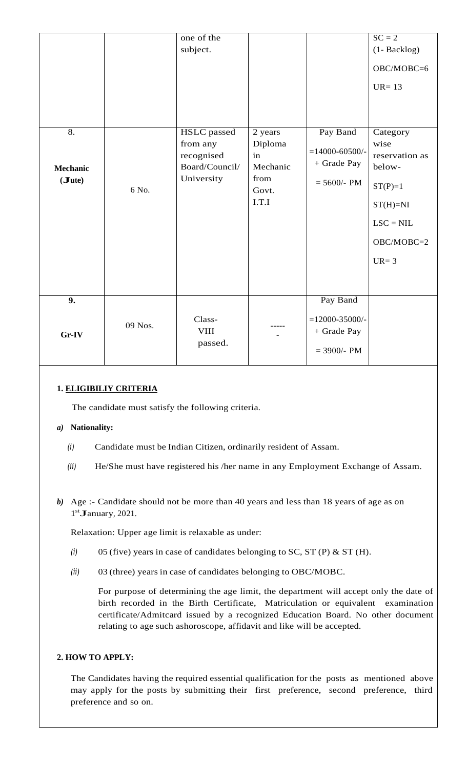|                 |         | one of the                               |                           |                                                    | $SC = 2$                         |
|-----------------|---------|------------------------------------------|---------------------------|----------------------------------------------------|----------------------------------|
|                 |         |                                          |                           |                                                    |                                  |
|                 |         | subject.                                 |                           |                                                    | (1- Backlog)                     |
|                 |         |                                          |                           |                                                    | OBC/MOBC=6                       |
|                 |         |                                          |                           |                                                    | $UR = 13$                        |
|                 |         |                                          |                           |                                                    |                                  |
| 8.              |         | <b>HSLC</b> passed                       | 2 years                   | Pay Band                                           | Category                         |
| <b>Mechanic</b> |         | from any<br>recognised<br>Board/Council/ | Diploma<br>in<br>Mechanic | $= 14000 - 60500/$<br>+ Grade Pay                  | wise<br>reservation as<br>below- |
| (Jute)          | 6 No.   | University                               | from<br>Govt.             | $= 5600/- PM$                                      | $ST(P)=1$                        |
|                 |         |                                          | I.T.I                     |                                                    | $ST(H)=NI$                       |
|                 |         |                                          |                           |                                                    | $LSC = NIL$                      |
|                 |         |                                          |                           |                                                    | OBC/MOBC=2                       |
|                 |         |                                          |                           |                                                    | $UR = 3$                         |
|                 |         |                                          |                           |                                                    |                                  |
| 9.              |         |                                          |                           | Pay Band                                           |                                  |
| Gr-IV           | 09 Nos. | Class-<br><b>VIII</b><br>passed.         |                           | $= 12000 - 35000/$<br>+ Grade Pay<br>$= 3900/- PM$ |                                  |
|                 |         |                                          |                           |                                                    |                                  |

## **1. ELIGIBILIY CRITERIA**

The candidate must satisfy the following criteria.

## *a)* **Nationality:**

- *(i)* Candidate must be Indian Citizen, ordinarily resident of Assam.
- *(ii)* He/She must have registered his /her name in any Employment Exchange of Assam.
- *b)* Age :- Candidate should not be more than 40 years and less than 18 years of age as on Age :- Candidate<br>1<sup>st</sup>January, 2021.

Relaxation: Upper age limit is relaxable as under:

- *(i)* 05 (five) years in case of candidates belonging to SC, ST (P) & ST (H).
- *(ii)* 03 (three) years in case of candidates belonging to OBC/MOBC.

For purpose of determining the age limit, the department will accept only the date of birth recorded in the Birth Certificate, Matriculation or equivalent examination certificate/Admitcard issued by a recognized Education Board. No other document relating to age such ashoroscope, affidavit and like will be accepted.

## **2. HOW TO APPLY:**

The Candidates having the required essential qualification for the posts as mentioned above may apply for the posts by submitting their first preference, second preference, third preference and so on.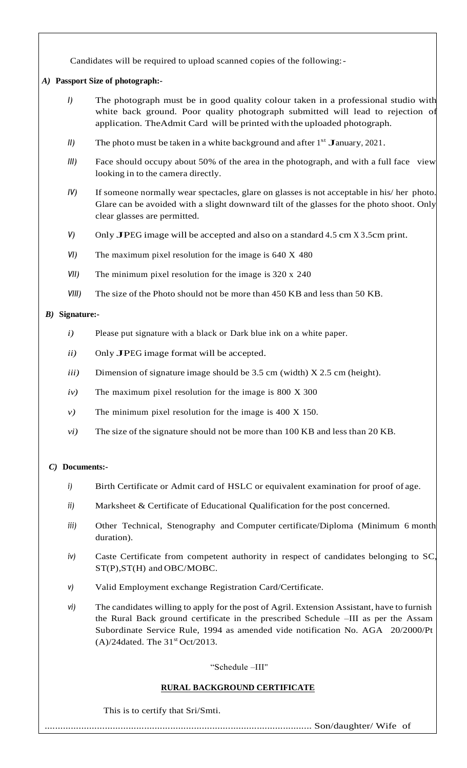Candidates will be required to upload scanned copies of the following:-

## *A)* **Passport Size of photograph:-**

- *I)* The photograph must be in good quality colour taken in a professional studio with white back ground. Poor quality photograph submitted will lead to rejection of application. TheAdmit Card will be printed with the uploaded photograph.
- II) The photo must be taken in a white background and after 1<sup>st</sup> January, 2021.
- *III)* Face should occupy about 50% of the area in the photograph, and with a full face view looking in to the camera directly.
- *IV)* If someone normally wear spectacles, glare on glasses is not acceptable in his/ her photo. Glare can be avoided with a slight downward tilt of the glasses for the photo shoot. Only clear glasses are permitted.
- *V)* Only JPEG image will be accepted and also on <sup>a</sup> standard 4.5 cm <sup>X</sup> 3.5cm print.
- *VI)* The maximum pixel resolution for the image is 640 X 480
- *VII)* The minimum pixel resolution for the image is 320 x 240
- *VIII*) The size of the Photo should not be more than 450 KB and less than 50 KB.

## *B)* **Signature:-**

- *i*) Please put signature with a black or Dark blue ink on a white paper.
- *ii)* Only JPEG image format will be accepted.
- *iii)* Dimension of signature image should be 3.5 cm (width) X 2.5 cm (height).
- *iv)* The maximum pixel resolution for the image is 800 X 300
- *v)* The minimum pixel resolution for the image is 400 X 150.
- *vi)* The size of the signature should not be more than 100 KB and less than 20 KB.

## *C)* **Documents:-**

- *i*) Birth Certificate or Admit card of HSLC or equivalent examination for proof of age.
- *ii)* Marksheet & Certificate of Educational Qualification for the post concerned.
- *iii)* Other Technical, Stenography and Computer certificate/Diploma (Minimum 6 month duration).
- *iv)* Caste Certificate from competent authority in respect of candidates belonging to SC, ST(P),ST(H) and OBC/MOBC.
- *v)* Valid Employment exchange Registration Card/Certificate.
- *vi)* The candidates willing to apply for the post of Agril. Extension Assistant, have to furnish the Rural Back ground certificate in the prescribed Schedule –III as per the Assam Subordinate Service Rule, 1994 as amended vide notification No. AGA 20/2000/Pt  $(A)/24$ dated. The 31<sup>st</sup> Oct/2013.

## "Schedule –III"

# **RURAL BACKGROUND CERTIFICATE**

This is to certify that Sri/Smti.

...................................................................................................... Son/daughter/ Wife of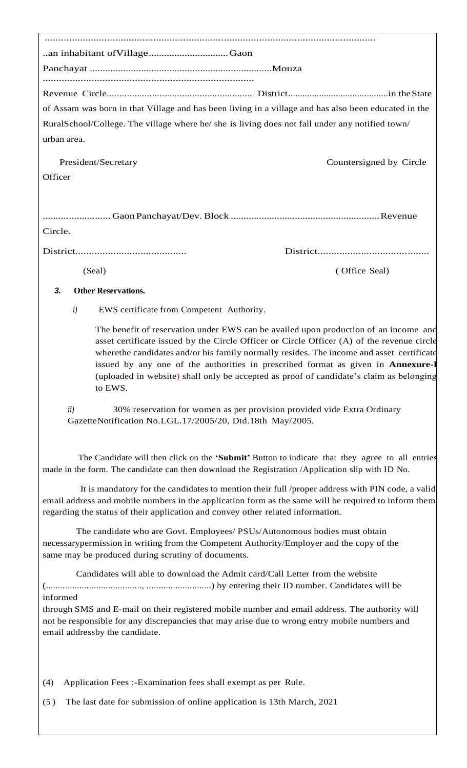| of Assam was born in that Village and has been living in a village and has also been educated in the                                                                                                                                                                                       |                                                                                                                                                                                                                                                                                                                                                                                                                                                                       |  |  |  |
|--------------------------------------------------------------------------------------------------------------------------------------------------------------------------------------------------------------------------------------------------------------------------------------------|-----------------------------------------------------------------------------------------------------------------------------------------------------------------------------------------------------------------------------------------------------------------------------------------------------------------------------------------------------------------------------------------------------------------------------------------------------------------------|--|--|--|
| RuralSchool/College. The village where he/ she is living does not fall under any notified town/                                                                                                                                                                                            |                                                                                                                                                                                                                                                                                                                                                                                                                                                                       |  |  |  |
| urban area.                                                                                                                                                                                                                                                                                |                                                                                                                                                                                                                                                                                                                                                                                                                                                                       |  |  |  |
| President/Secretary                                                                                                                                                                                                                                                                        | Countersigned by Circle                                                                                                                                                                                                                                                                                                                                                                                                                                               |  |  |  |
| Officer                                                                                                                                                                                                                                                                                    |                                                                                                                                                                                                                                                                                                                                                                                                                                                                       |  |  |  |
|                                                                                                                                                                                                                                                                                            |                                                                                                                                                                                                                                                                                                                                                                                                                                                                       |  |  |  |
| Circle.                                                                                                                                                                                                                                                                                    |                                                                                                                                                                                                                                                                                                                                                                                                                                                                       |  |  |  |
|                                                                                                                                                                                                                                                                                            |                                                                                                                                                                                                                                                                                                                                                                                                                                                                       |  |  |  |
| (Seal)                                                                                                                                                                                                                                                                                     | (Office Seal)                                                                                                                                                                                                                                                                                                                                                                                                                                                         |  |  |  |
| 3.<br><b>Other Reservations.</b>                                                                                                                                                                                                                                                           |                                                                                                                                                                                                                                                                                                                                                                                                                                                                       |  |  |  |
| i)<br>EWS certificate from Competent Authority.                                                                                                                                                                                                                                            |                                                                                                                                                                                                                                                                                                                                                                                                                                                                       |  |  |  |
| to EWS.                                                                                                                                                                                                                                                                                    | The benefit of reservation under EWS can be availed upon production of an income and<br>asset certificate issued by the Circle Officer or Circle Officer (A) of the revenue circle<br>where the candidates and/or his family normally resides. The income and asset certificate<br>issued by any one of the authorities in prescribed format as given in <b>Annexure-I</b><br>(uploaded in website) shall only be accepted as proof of candidate's claim as belonging |  |  |  |
| 30% reservation for women as per provision provided vide Extra Ordinary<br>ii)<br>GazetteNotification No.LGL.17/2005/20, Dtd.18th May/2005.                                                                                                                                                |                                                                                                                                                                                                                                                                                                                                                                                                                                                                       |  |  |  |
| The Candidate will then click on the 'Submit' Button to indicate that they agree to all entries<br>made in the form. The candidate can then download the Registration /Application slip with ID No.                                                                                        |                                                                                                                                                                                                                                                                                                                                                                                                                                                                       |  |  |  |
| It is mandatory for the candidates to mention their full /proper address with PIN code, a valid<br>email address and mobile numbers in the application form as the same will be required to inform them<br>regarding the status of their application and convey other related information. |                                                                                                                                                                                                                                                                                                                                                                                                                                                                       |  |  |  |
| The candidate who are Govt. Employees/ PSUs/Autonomous bodies must obtain<br>necessarypermission in writing from the Competent Authority/Employer and the copy of the<br>same may be produced during scrutiny of documents.                                                                |                                                                                                                                                                                                                                                                                                                                                                                                                                                                       |  |  |  |
| Candidates will able to download the Admit card/Call Letter from the website                                                                                                                                                                                                               |                                                                                                                                                                                                                                                                                                                                                                                                                                                                       |  |  |  |
| informed<br>through SMS and E-mail on their registered mobile number and email address. The authority will<br>not be responsible for any discrepancies that may arise due to wrong entry mobile numbers and<br>email addressby the candidate.                                              |                                                                                                                                                                                                                                                                                                                                                                                                                                                                       |  |  |  |
| Application Fees :-Examination fees shall exempt as per Rule.<br>(4)                                                                                                                                                                                                                       |                                                                                                                                                                                                                                                                                                                                                                                                                                                                       |  |  |  |
| The last date for submission of online application is 13th March, 2021<br>(5)                                                                                                                                                                                                              |                                                                                                                                                                                                                                                                                                                                                                                                                                                                       |  |  |  |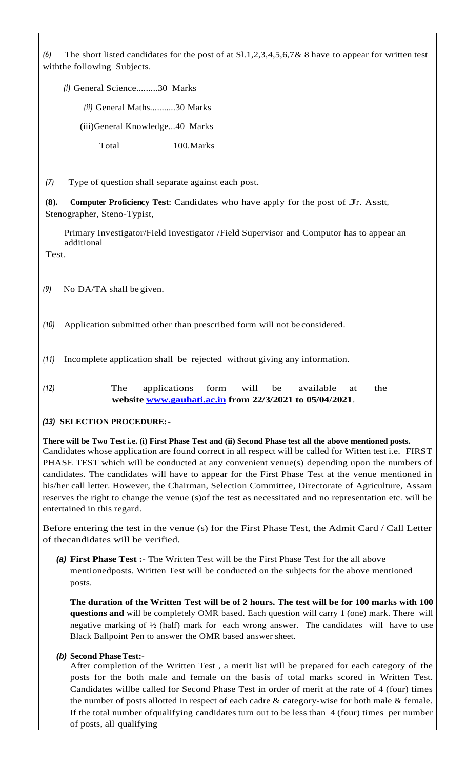*(6)* The short listed candidates for the post of at Sl.1,2,3,4,5,6,7& 8 have to appear for written test withthe following Subjects.

*(i)* General Science.........30 Marks

*(ii)* General Maths...........30 Marks

(iii)General Knowledge...40 Marks

Total 100.Marks

*(7)* Type of question shall separate against each post.

**(8). Computer Proficiency Test:** Candidates who have apply for the post of Jr. Asstt, Stenographer, Steno-Typist,

Primary Investigator/Field Investigator /Field Supervisor and Computor has to appear an additional

Test.

*(9)* No DA/TA shall be given.

- *(10)* Application submitted other than prescribed form will not be considered.
- *(11)* Incomplete application shall be rejected without giving any information.
- *(12)* The applications form will be available at the **website [www.gauhati.ac.in](http://www.gauhati.ac.in/) from 22/3/2021 to 05/04/2021**.

## *(13)* **SELECTION PROCEDURE:-**

## **There will be Two Test i.e. (i) First Phase Test and (ii) Second Phase test all the above mentioned posts.** Candidates whose application are found correct in all respect will be called for Witten test i.e. FIRST PHASE TEST which will be conducted at any convenient venue(s) depending upon the numbers of candidates. The candidates will have to appear for the First Phase Test at the venue mentioned in his/her call letter. However, the Chairman, Selection Committee, Directorate of Agriculture, Assam reserves the right to change the venue (s)of the test as necessitated and no representation etc. will be entertained in this regard.

Before entering the test in the venue (s) for the First Phase Test, the Admit Card / Call Letter of thecandidates will be verified.

*(a)* **First Phase Test :-** The Written Test will be the First Phase Test for the all above mentionedposts. Written Test will be conducted on the subjects for the above mentioned posts.

**The duration of the Written Test will be of 2 hours. The test will be for 100 marks with 100 questions and** will be completely OMR based. Each question will carry 1 (one) mark. There will negative marking of ½ (half) mark for each wrong answer. The candidates will have to use Black Ballpoint Pen to answer the OMR based answer sheet.

# *(b)* **Second PhaseTest:-**

After completion of the Written Test , a merit list will be prepared for each category of the posts for the both male and female on the basis of total marks scored in Written Test. Candidates willbe called for Second Phase Test in order of merit at the rate of 4 (four) times the number of posts allotted in respect of each cadre & category-wise for both male & female. If the total number ofqualifying candidates turn out to be less than 4 (four) times per number of posts, all qualifying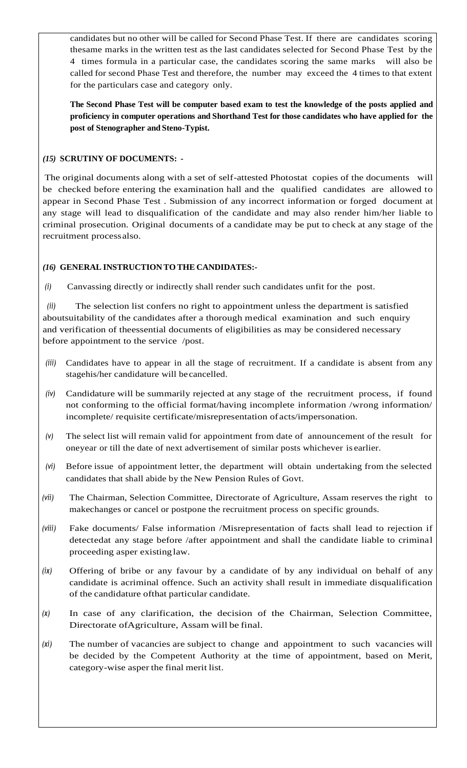candidates but no other will be called for Second Phase Test. If there are candidates scoring thesame marks in the written test as the last candidates selected for Second Phase Test by the 4 times formula in a particular case, the candidates scoring the same marks will also be called for second Phase Test and therefore, the number may exceed the 4 times to that extent for the particulars case and category only.

**The Second Phase Test will be computer based exam to test the knowledge of the posts applied and proficiency in computer operations and Shorthand Test for those candidates who have applied for the post of Stenographer and Steno-Typist.**

## *(15)* **SCRUTINY OF DOCUMENTS: -**

The original documents along with a set of self-attested Photostat copies of the documents will be checked before entering the examination hall and the qualified candidates are allowed to appear in Second Phase Test . Submission of any incorrect information or forged document at any stage will lead to disqualification of the candidate and may also render him/her liable to criminal prosecution. Original documents of a candidate may be put to check at any stage of the recruitment processalso.

## *(16)* **GENERAL INSTRUCTION TO THE CANDIDATES:-**

*(i)* Canvassing directly or indirectly shall render such candidates unfit for the post.

*(ii)* The selection list confers no right to appointment unless the department is satisfied aboutsuitability of the candidates after a thorough medical examination and such enquiry and verification of theessential documents of eligibilities as may be considered necessary before appointment to the service /post.

- *(iii)* Candidates have to appear in all the stage of recruitment. If a candidate is absent from any stagehis/her candidature will be cancelled.
- *(iv)* Candidature will be summarily rejected at any stage of the recruitment process, if found not conforming to the official format/having incomplete information /wrong information/ incomplete/ requisite certificate/misrepresentation of acts/impersonation.
- *(v)* The select list will remain valid for appointment from date of announcement of the result for oneyear or till the date of next advertisement of similar posts whichever is earlier.
- *(vi)* Before issue of appointment letter, the department will obtain undertaking from the selected candidates that shall abide by the New Pension Rules of Govt.
- *(vii)* The Chairman, Selection Committee, Directorate of Agriculture, Assam reserves the right to makechanges or cancel or postpone the recruitment process on specific grounds.
- *(viii)* Fake documents/ False information /Misrepresentation of facts shall lead to rejection if detectedat any stage before /after appointment and shall the candidate liable to criminal proceeding asper existinglaw.
- *(ix)* Offering of bribe or any favour by a candidate of by any individual on behalf of any candidate is acriminal offence. Such an activity shall result in immediate disqualification of the candidature ofthat particular candidate.
- *(x)* In case of any clarification, the decision of the Chairman, Selection Committee, Directorate ofAgriculture, Assam will be final.
- *(xi)* The number of vacancies are subject to change and appointment to such vacancies will be decided by the Competent Authority at the time of appointment, based on Merit, category-wise asper the final merit list.